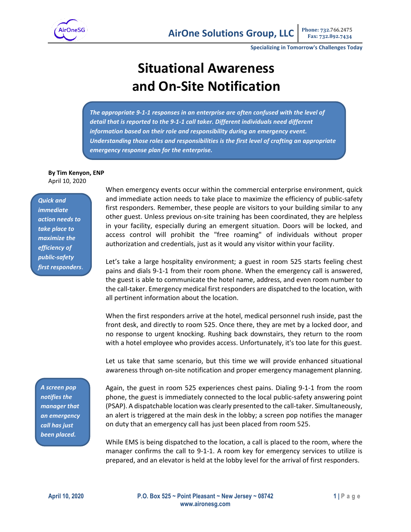

**Specializing in Tomorrow's Challenges Today**

## **Situational Awareness and On-Site Notification**

*The appropriate 9-1-1 responses in an enterprise are often confused with the level of detail that is reported to the 9-1-1 call taker. Different individuals need different information based on their role and responsibility during an emergency event. Understanding those roles and responsibilities is the first level of crafting an appropriate emergency response plan for the enterprise.*

## **By Tim Kenyon, ENP** April 10, 2020

*Quick and immediate action needs to take place to maximize the efficiency of public-safety first responders*. When emergency events occur within the commercial enterprise environment, quick and immediate action needs to take place to maximize the efficiency of public-safety first responders. Remember, these people are visitors to your building similar to any other guest. Unless previous on-site training has been coordinated, they are helpless in your facility, especially during an emergent situation. Doors will be locked, and access control will prohibit the "free roaming" of individuals without proper authorization and credentials, just as it would any visitor within your facility.

Let's take a large hospitality environment; a guest in room 525 starts feeling chest pains and dials 9-1-1 from their room phone. When the emergency call is answered, the guest is able to communicate the hotel name, address, and even room number to the call-taker. Emergency medical first responders are dispatched to the location, with all pertinent information about the location.

When the first responders arrive at the hotel, medical personnel rush inside, past the front desk, and directly to room 525. Once there, they are met by a locked door, and no response to urgent knocking. Rushing back downstairs, they return to the room with a hotel employee who provides access. Unfortunately, it's too late for this guest.

Let us take that same scenario, but this time we will provide enhanced situational awareness through on-site notification and proper emergency management planning.

*A screen pop notifies the manager that an emergency call has just been placed.*

Again, the guest in room 525 experiences chest pains. Dialing 9-1-1 from the room phone, the guest is immediately connected to the local public-safety answering point (PSAP). A dispatchable location was clearly presented to the call-taker. Simultaneously, an alert is triggered at the main desk in the lobby; a screen pop notifies the manager on duty that an emergency call has just been placed from room 525.

While EMS is being dispatched to the location, a call is placed to the room, where the manager confirms the call to 9-1-1. A room key for emergency services to utilize is prepared, and an elevator is held at the lobby level for the arrival of first responders.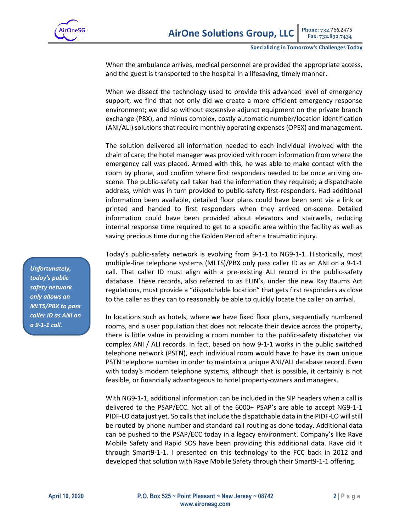

When the ambulance arrives, medical personnel are provided the appropriate access, and the guest is transported to the hospital in a lifesaving, timely manner.

When we dissect the technology used to provide this advanced level of emergency support, we find that not only did we create a more efficient emergency response environment; we did so without expensive adjunct equipment on the private branch exchange (PBX), and minus complex, costly automatic number/location identification (ANI/ALI) solutions that require monthly operating expenses (OPEX) and management.

The solution delivered all information needed to each individual involved with the chain of care; the hotel manager was provided with room information from where the emergency call was placed. Armed with this, he was able to make contact with the room by phone, and confirm where first responders needed to be once arriving onscene. The public-safety call taker had the information they required; a dispatchable address, which was in turn provided to public-safety first-responders. Had additional information been available, detailed floor plans could have been sent via a link or printed and handed to first responders when they arrived on-scene. Detailed information could have been provided about elevators and stairwells, reducing internal response time required to get to a specific area within the facility as well as saving precious time during the Golden Period after a traumatic injury.

Today's public-safety network is evolving from 9-1-1 to NG9-1-1. Historically, most multiple-line telephone systems (MLTS)/PBX only pass caller ID as an ANI on a 9-1-1 call. That caller ID must align with a pre-existing ALI record in the public-safety database. These records, also referred to as ELIN's, under the new Ray Baums Act regulations, must provide a "dispatchable location" that gets first responders as close to the caller as they can to reasonably be able to quickly locate the caller on arrival.

In locations such as hotels, where we have fixed floor plans, sequentially numbered rooms, and a user population that does not relocate their device across the property, there is little value in providing a room number to the public-safety dispatcher via complex ANI / ALI records. In fact, based on how 9-1-1 works in the public switched telephone network (PSTN), each individual room would have to have its own unique PSTN telephone number in order to maintain a unique ANI/ALI database record. Even with today's modern telephone systems, although that is possible, it certainly is not feasible, or financially advantageous to hotel property-owners and managers.

With NG9-1-1, additional information can be included in the SIP headers when a call is delivered to the PSAP/ECC. Not all of the 6000+ PSAP's are able to accept NG9-1-1 PIDF-LO data just yet. So calls that include the dispatchable data in the PIDF-LO will still be routed by phone number and standard call routing as done today. Additional data can be pushed to the PSAP/ECC today in a legacy environment. Company's like Rave Mobile Safety and Rapid SOS have been providing this additional data. Rave did it through Smart9-1-1. I presented on this technology to the FCC back in 2012 and developed that solution with Rave Mobile Safety through their Smart9-1-1 offering.

*Unfortunately, today's public safety network only allows an MLTS/PBX to pass caller ID as ANI on a 9-1-1 call.*